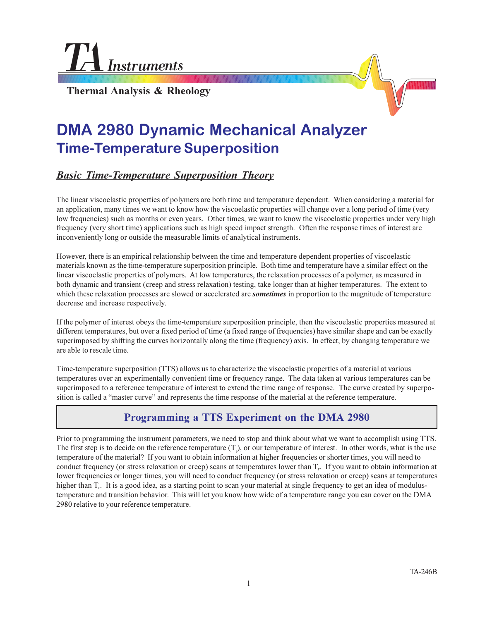**Instruments** 

**Thermal Analysis & Rheology**

# **DMA 2980 Dynamic Mechanical Analyzer Time-Temperature Superposition**

## *Basic Time-Temperature Superposition Theory*

The linear viscoelastic properties of polymers are both time and temperature dependent. When considering a material for an application, many times we want to know how the viscoelastic properties will change over a long period of time (very low frequencies) such as months or even years. Other times, we want to know the viscoelastic properties under very high frequency (very short time) applications such as high speed impact strength. Often the response times of interest are inconveniently long or outside the measurable limits of analytical instruments.

However, there is an empirical relationship between the time and temperature dependent properties of viscoelastic materials known as the time-temperature superposition principle. Both time and temperature have a similar effect on the linear viscoelastic properties of polymers. At low temperatures, the relaxation processes of a polymer, as measured in both dynamic and transient (creep and stress relaxation) testing, take longer than at higher temperatures. The extent to which these relaxation processes are slowed or accelerated are *sometimes* in proportion to the magnitude of temperature decrease and increase respectively.

If the polymer of interest obeys the time-temperature superposition principle, then the viscoelastic properties measured at different temperatures, but over a fixed period of time (a fixed range of frequencies) have similar shape and can be exactly superimposed by shifting the curves horizontally along the time (frequency) axis. In effect, by changing temperature we are able to rescale time.

Time-temperature superposition (TTS) allows us to characterize the viscoelastic properties of a material at various temperatures over an experimentally convenient time or frequency range. The data taken at various temperatures can be superimposed to a reference temperature of interest to extend the time range of response. The curve created by superposition is called a "master curve" and represents the time response of the material at the reference temperature.

## **Programming a TTS Experiment on the DMA 2980**

Prior to programming the instrument parameters, we need to stop and think about what we want to accomplish using TTS. The first step is to decide on the reference temperature  $(T<sub>r</sub>)$ , or our temperature of interest. In other words, what is the use temperature of the material? If you want to obtain information at higher frequencies or shorter times, you will need to conduct frequency (or stress relaxation or creep) scans at temperatures lower than  $T<sub>r</sub>$ . If you want to obtain information at lower frequencies or longer times, you will need to conduct frequency (or stress relaxation or creep) scans at temperatures higher than T<sub>r</sub>. It is a good idea, as a starting point to scan your material at single frequency to get an idea of modulustemperature and transition behavior. This will let you know how wide of a temperature range you can cover on the DMA 2980 relative to your reference temperature.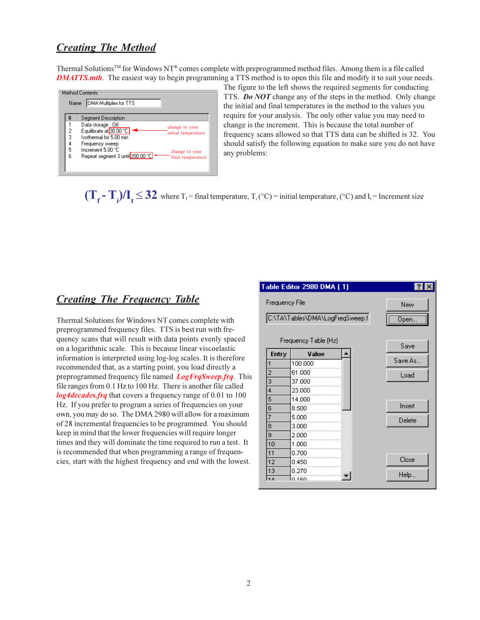#### *Creating The Method*

Thermal SolutionsTM for Windows NT® comes complete with preprogrammed method files. Among them is a file called *DMATTS.mth*. The easiest way to begin programming a TTS method is to open this file and modify it to suit your needs.



The figure to the left shows the required segments for conducting TTS. *Do NOT* change any of the steps in the method. Only change the initial and final temperatures in the method to the values you require for your analysis. The only other value you may need to change is the increment. This is because the total number of frequency scans allowed so that TTS data can be shifted is 32. You should satisfy the following equation to make sure you do not have any problems:

 $(T_f - T_i)/I_t \leq 32$  where  $T_f$  = final temperature,  $T_i$  (°C) = initial temperature, (°C) and  $I_t$  = Increment size

#### *Creating The Frequency Table*

Thermal Solutions for Windows NT comes complete with preprogrammed frequency files. TTS is best run with frequency scans that will result with data points evenly spaced on a logarithmic scale. This is because linear viscoelastic information is interpreted using log-log scales. It is therefore recommended that, as a starting point, you load directly a preprogrammed frequency file named *LogFrqSweep.frq*. This file ranges from 0.1 Hz to 100 Hz. There is another file called *log4decades.frq* that covers a frequency range of 0.01 to 100 Hz. If you prefer to program a series of frequencies on your own, you may do so. The DMA 2980 will allow for a maximum of 28 incremental frequencies to be programmed. You should keep in mind that the lower frequencies will require longer times and they will dominate the time required to run a test. It is recommended that when programming a range of frequencies, start with the highest frequency and end with the lowest.

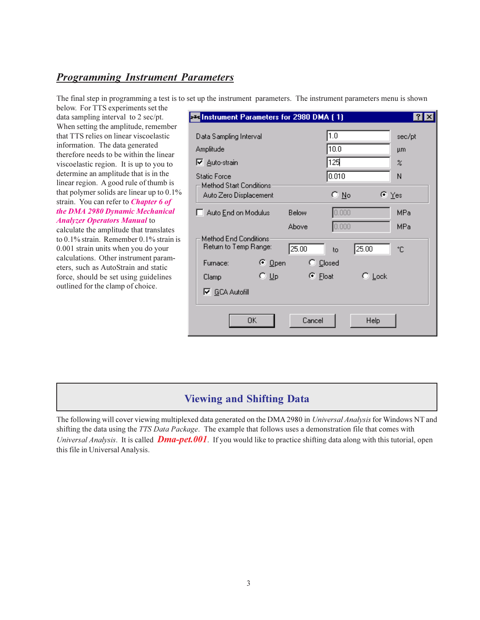#### *Programming Instrument Parameters*

The final step in programming a test is to set up the instrument parameters. The instrument parameters menu is shown

below. For TTS experiments set the data sampling interval to 2 sec/pt. When setting the amplitude, remember that TTS relies on linear viscoelastic information. The data generated therefore needs to be within the linear viscoelastic region. It is up to you to determine an amplitude that is in the linear region. A good rule of thumb is that polymer solids are linear up to 0.1% strain. You can refer to *Chapter 6 of the DMA 2980 Dynamic Mechanical Analyzer Operators Manual* to

calculate the amplitude that translates to 0.1% strain. Remember 0.1% strain is 0.001 strain units when you do your calculations. Other instrument parameters, such as AutoStrain and static force, should be set using guidelines outlined for the clamp of choice.

| <b>EX Instrument Parameters for 2980 DMA (1)</b> |                  |             |                     | <b>P</b>   |
|--------------------------------------------------|------------------|-------------|---------------------|------------|
| Data Sampling Interval                           |                  | 1.0         |                     | sec/pt     |
| Amplitude                                        |                  | 10.0        |                     | μm         |
| <b>▽</b> Auto-strain                             |                  | 125         |                     | z          |
| <b>Static Force</b>                              |                  | 0.010       |                     | Ν          |
| Method Start Conditions:                         |                  |             |                     |            |
| Auto Zero Displacement                           |                  | C No        | ি ⊻es               |            |
| Auto End on Modulus                              | Below            | 0.000       |                     | MPa        |
|                                                  | Above            | 0.000       |                     | <b>MPa</b> |
| Method End Conditions:                           |                  |             |                     |            |
| Return to Temp Range:                            | 25.00            | 25.00<br>to |                     | ۴C         |
| ়ি <u>O</u> pen<br>Furnace:                      | $\degree$ Closed |             |                     |            |
| $\circ \cup_{\mathsf{P}}$<br>Clamp               | $\bullet$ Float  |             | $\mathsf{C}\,$ Lock |            |
| <b>▽</b> GCA Autofill                            |                  |             |                     |            |
|                                                  |                  |             |                     |            |
| 0K                                               | Cancel           |             | Help                |            |
|                                                  |                  |             |                     |            |

## **Viewing and Shifting Data**

The following will cover viewing multiplexed data generated on the DMA 2980 in *Universal Analysis* for Windows NT and shifting the data using the *TTS Data Package*. The example that follows uses a demonstration file that comes with *Universal Analysis*. It is called *Dma-pet.001*. If you would like to practice shifting data along with this tutorial, open this file in Universal Analysis.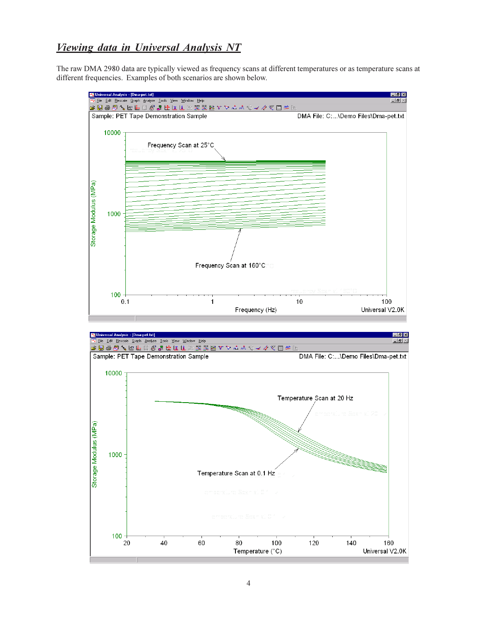### *Viewing data in Universal Analysis NT*

The raw DMA 2980 data are typically viewed as frequency scans at different temperatures or as temperature scans at different frequencies. Examples of both scenarios are shown below.

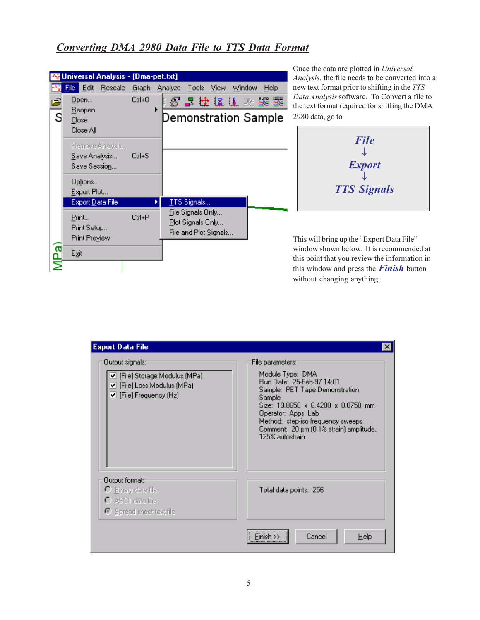### *Converting DMA 2980 Data File to TTS Data Format*

|        | Universal Analysis - [Dma-pet.txt]                   |              |                                                                 |
|--------|------------------------------------------------------|--------------|-----------------------------------------------------------------|
|        | Edit<br><u>R</u> escale<br>File I                    |              | Graph Analyze Tools View Window<br><b>Help</b>                  |
| É<br>Ś | <u>0</u> pen<br><u>R</u> eopen<br>Close<br>Close All | $C$ trl+ $O$ | 8 晶体体作为器器<br>Demonstration Sample                               |
|        | Remove Analysis<br>Save Analysis<br>Save Session     | Ctrl+S       |                                                                 |
|        | Options<br>Export Plot                               |              |                                                                 |
|        | Export Data File                                     |              | TTS Signals                                                     |
|        | Print<br>Print Setup<br>Print Preview                | Ctrl+P       | File Signals Only<br>Plot Signals Only<br>File and Plot Signals |
| ភ្ន    | Exit                                                 |              |                                                                 |
|        |                                                      |              |                                                                 |

Once the data are plotted in *Universal Analysis*, the file needs to be converted into a new text format prior to shifting in the *TTS Data Analysis* software. To Convert a file to the text format required for shifting the DMA 2980 data, go to



This will bring up the "Export Data File" window shown below. It is recommended at this point that you review the information in this window and press the *Finish* button without changing anything.

| <b>Export Data File</b>                                                                                                         | $\vert x \vert$                                                                                                                                                                                                                                                                            |
|---------------------------------------------------------------------------------------------------------------------------------|--------------------------------------------------------------------------------------------------------------------------------------------------------------------------------------------------------------------------------------------------------------------------------------------|
| :Dutput signals<br>✔ [File] Storage Modulus (MPa)<br>✔ [File] Loss Modulus (MPa)<br>$\blacktriangleright$ [File] Frequency (Hz) | File parameters: <sup>-</sup><br>Module Type: DMA<br>Run Date: 25-Feb-97 14:01<br>Sample: PET Tape Demonstration<br>Sample<br>Size: 19,8650 x 6,4200 x 0,0750 mm<br>Operator: Apps. Lab<br>Method: step-iso frequency sweeps<br>Comment: 20 µm (0.1% strain) amplitude,<br>125% autostrain |
| :Dutput format<br>O Binary data file<br>$\bigcirc$ ASCII data file<br>Spread sheet text file                                    | Total data points: 256                                                                                                                                                                                                                                                                     |
|                                                                                                                                 | $Finish \gg$<br>Cancel<br>$He$ lp                                                                                                                                                                                                                                                          |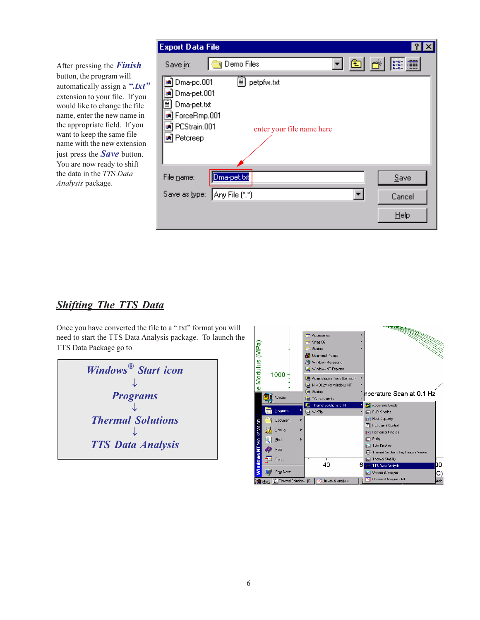After pressing the *Finish* button, the program will automatically assign a ".txt" extension to your file. If you would like to change the file name, enter the new name in the appropriate field. If you want to keep the same file name with the new extension just press the *Save* button. You are now ready to shift the data in the *TTS Data Analysis* package.

| <b>Export Data File</b>  |                     |            |                           |  |                 |  |
|--------------------------|---------------------|------------|---------------------------|--|-----------------|--|
| Save in:                 | <b>N</b> Demo Files |            |                           |  | J⊡ <u>★ ⊞ Ⅲ</u> |  |
| Dma-pc.001               | ≣∣                  | petpfw.txt |                           |  |                 |  |
| Dma-pet.001              |                     |            |                           |  |                 |  |
| ≣<br>Dma-pet.txt         |                     |            |                           |  |                 |  |
| <b>≥a</b> ] ForceRmp.001 |                     |            |                           |  |                 |  |
| PCStrain.001<br>ы        |                     |            | enter your file name here |  |                 |  |
| an Petcreep              |                     |            |                           |  |                 |  |
|                          |                     |            |                           |  |                 |  |
| File name:               | Dma-pet.txt         |            |                           |  | Save            |  |
| Save as type:            | Any File (*.*)      |            |                           |  | Cancel          |  |
|                          |                     |            |                           |  | Help            |  |

## *Shifting The TTS Data*

Once you have converted the file to a ".txt" format you will need to start the TTS Data Analysis package. To launch the TTS Data Package go to

| Windows <sup>®</sup> Start icon |
|---------------------------------|
|                                 |
| <b>Programs</b>                 |
|                                 |
| <b>Thermal Solutions</b>        |
|                                 |
| <b>TTS Data Analysis</b>        |
|                                 |

|                               |                | Accessories<br>m                                  |   |                                            |
|-------------------------------|----------------|---------------------------------------------------|---|--------------------------------------------|
|                               |                | Snaglt32<br>扁                                     |   |                                            |
|                               |                | Startup<br>扁                                      |   |                                            |
|                               |                | h.<br>Command Prompt                              |   |                                            |
|                               |                | <b>OD</b> Windows Messaging                       |   |                                            |
|                               |                | Windows NT Explorer                               |   |                                            |
| je Modulus (MPa)              | 1000           | Administrative Tools (Common)                     |   |                                            |
|                               |                | NI-488.2M for Windows NT                          |   |                                            |
|                               |                | G Startup                                         |   | hperature Scan at 0.1 Hz                   |
|                               | WinZip         | TA Instruments<br>ø                               |   |                                            |
|                               |                | Thermal Solutions for NT<br>叵                     |   | Accessory Loader                           |
|                               | Programs       | <b>B</b> WinZip                                   |   | <b>B&amp;D Kinetics</b><br>医               |
|                               | Documents      |                                                   |   | <b>Heat Capacity</b><br>國                  |
| <b>Windows NT Workstation</b> | Settings       |                                                   |   | TA<br><b>Instrument Control</b>            |
|                               | 感              |                                                   |   | <b>Isothermal Kinetics</b><br><b>Inc.</b>  |
|                               | Find           |                                                   |   | Purity<br>圜                                |
|                               | Help           |                                                   |   | <b>TGA Kinetics</b><br>匾                   |
|                               |                |                                                   |   | Thermal Solutions Key Feature Viewer       |
|                               | Run            | 40                                                |   | <b>Thermal Stability</b><br>医              |
|                               |                |                                                   | 6 | DO<br><b>TTS Data Analysis</b>             |
|                               | Shut Down      |                                                   |   | Universal Analysis<br>C)                   |
|                               | <b>B</b> Start | T. Thermal Solutions - [D   M. Universal Analysis |   | Universal Analysis - NT<br>FAV.<br>blutio. |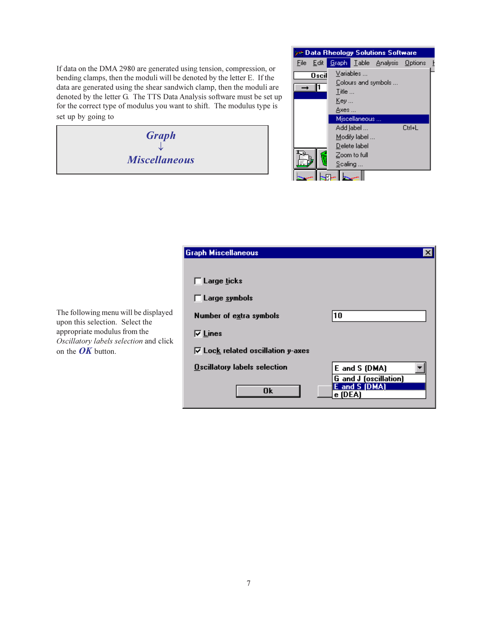If data on the DMA 2980 are generated using tension, compression, or bending clamps, then the moduli will be denoted by the letter E. If the data are generated using the shear sandwich clamp, then the moduli are denoted by the letter G. The TTS Data Analysis software must be set up for the correct type of modulus you want to shift. The modulus type is set up by going to

> *Graph*  $\downarrow$ *Miscellaneous*



|                                                   | Graph Miscellaneous                                                                                                                       | ΧI                                                              |
|---------------------------------------------------|-------------------------------------------------------------------------------------------------------------------------------------------|-----------------------------------------------------------------|
| be displayed<br>ect the<br>n the<br>ion and click | $\Box$ Large ticks<br>$\Box$ Large symbols<br>Number of extra symbols<br>$\nabla$ Lines<br>$\overline{V}$ Lock related oscillation y-axes | 10                                                              |
|                                                   | <b>Oscillatory labels selection</b>                                                                                                       | E and S (DMA)                                                   |
|                                                   | 0k                                                                                                                                        | <b>G</b> and <b>J</b> (oscillation)<br>E and S (DMA)<br>e (DEA) |
|                                                   |                                                                                                                                           |                                                                 |

The following menu will upon this selection. Sele appropriate modulus from **Oscillatory labels selection** on the *OK* button.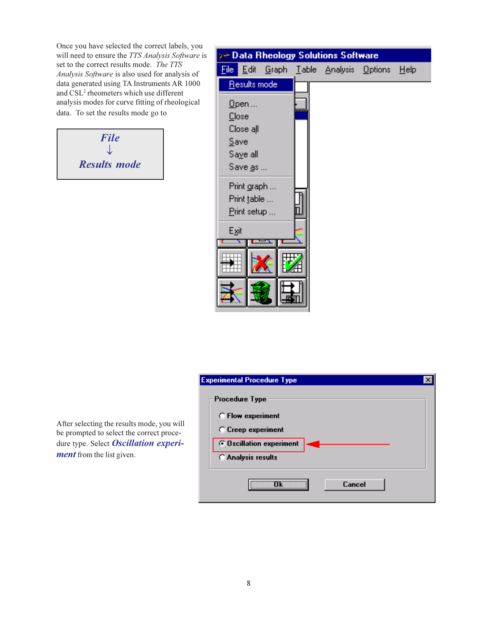Once you have selected the correct labels, you will need to ensure the *TTS Analysis Software* is set to the correct results mode. *The TTS Analysis Software* is also used for analysis of data generated using TA Instruments AR 1000 and CSL<sup>2</sup> rheometers which use different analysis modes for curve fitting of rheological data. To set the results mode go to



| <b>Data Rheology Solutions Software</b>                                                           |  |  |
|---------------------------------------------------------------------------------------------------|--|--|
| <u>  E</u> dit <u>G</u> raph <u>T</u> able Analysis <u>O</u> ptions <u>H</u> elp<br><u>File i</u> |  |  |
| Results mode                                                                                      |  |  |
| $Q$ pen                                                                                           |  |  |
| Close                                                                                             |  |  |
| Close all                                                                                         |  |  |
| Save                                                                                              |  |  |
| Saye all                                                                                          |  |  |
| Save as                                                                                           |  |  |
| Print graph                                                                                       |  |  |
| Print table                                                                                       |  |  |
| Print setup                                                                                       |  |  |
| Exit                                                                                              |  |  |
|                                                                                                   |  |  |
|                                                                                                   |  |  |
|                                                                                                   |  |  |
|                                                                                                   |  |  |
|                                                                                                   |  |  |
|                                                                                                   |  |  |

After selecting the results mode, you will be prompted to select the correct procedure type. Select *Oscillation experiment* from the list given.

| Experimental Procedure Type |
|-----------------------------|
| <b>Procedure Type</b>       |
| C Flow experiment           |
| C Creep experiment          |
| ⊙ Oscillation experiment    |
| C Analysis results          |
| Cancel                      |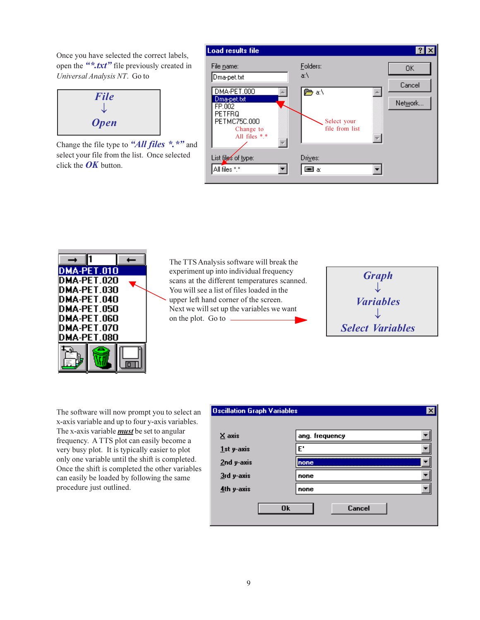Once you have selected the correct labels, open the "*\*.txt*" file previously created in *Universal Analysis NT*. Go to

$$
File
$$
  
\n
$$
\downarrow
$$
  
\n*Open*

Change the file type to "*All files* \*.\*" and select your file from the list. Once selected click the *OK* button.





The TTS Analysis software will break the experiment up into individual frequency scans at the different temperatures scanned. You will see a list of files loaded in the upper left hand corner of the screen. Next we will set up the variables we want on the plot. Go to



The software will now prompt you to select an x-axis variable and up to four y-axis variables. The x-axis variable *must* be set to angular frequency. A TTS plot can easily become a very busy plot. It is typically easier to plot only one variable until the shift is completed. Once the shift is completed the other variables can easily be loaded by following the same procedure just outlined.

| <b>Oscillation Graph Variables</b> |                     | $\boldsymbol{\mathsf{x}}$ |
|------------------------------------|---------------------|---------------------------|
|                                    |                     |                           |
| X axis                             | ang. frequency      |                           |
| 1st y-axis                         | E'                  |                           |
| 2nd y-axis                         | none                |                           |
| 3rd y-axis                         | none                |                           |
| 4th y-axis                         | none                |                           |
|                                    | Cancel<br><b>Ok</b> |                           |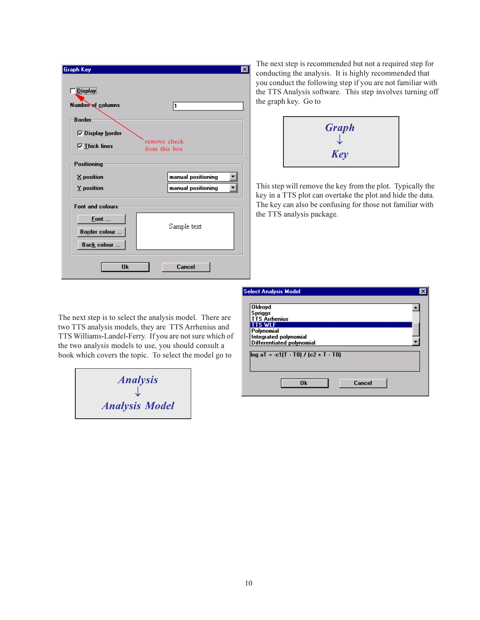| <b>Graph Key</b>        | $\times$                      |
|-------------------------|-------------------------------|
| <b>Display</b>          |                               |
| Number of columns       | 1                             |
| <b>Border</b>           |                               |
| <b>▽ Display border</b> |                               |
| $\nabla$ Thick lines    | remove check<br>from this box |
| <b>Positioning</b>      |                               |
| X position              | manual positioning            |
| Y position              | manual positioning            |
| <b>Font and colours</b> |                               |
| Font                    |                               |
| <b>Border colour </b>   | Sample text                   |
| Back colour             |                               |
| <b>Ok</b>               | Cancel                        |

The next step is recommended but not a required step for conducting the analysis. It is highly recommended that you conduct the following step if you are not familiar with the TTS Analysis software. This step involves turning off the graph key. Go to



This step will remove the key from the plot. Typically the key in a TTS plot can overtake the plot and hide the data. The key can also be confusing for those not familiar with the TTS analysis package.

| <b>Select Analysis Model</b>           |        |
|----------------------------------------|--------|
| <b>Oldroyd</b>                         |        |
| <b>Spriggs</b>                         |        |
| <b>TTS Arrhenius</b>                   |        |
| <b>TTS WLF</b>                         |        |
| Polynomial                             |        |
| Integrated polynomial                  |        |
| <b>Differentiated polynomial</b>       |        |
|                                        |        |
| $log aT = -c1(T - T0) / (c2 + T - T0)$ |        |
|                                        |        |
|                                        |        |
|                                        |        |
| 0 <sub>k</sub>                         | Cancel |
|                                        |        |

The next step is to select the analysis model. There are two TTS analysis models, they are TTS Arrhenius and TTS Williams-Landel-Ferry. If you are not sure which of the two analysis models to use, you should consult a book which covers the topic. To select the model go to

| <b>Analysis</b>       |  |
|-----------------------|--|
| <b>Analysis Model</b> |  |
|                       |  |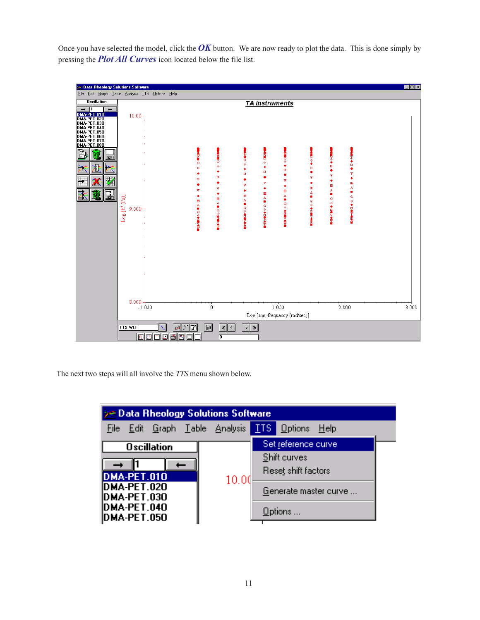Once you have selected the model, click the  $\overline{OK}$  button. We are now ready to plot the data. This is done simply by pressing the *Plot All Curves* icon located below the file list.



The next two steps will all involve the *TTS* menu shown below.

| $\rightarrow$ Data Rheology Solutions Software |  |                         |  |  |
|------------------------------------------------|--|-------------------------|--|--|
| <u>File Edit Graph Table Analysis  </u>        |  | <b>TTS</b> Options Help |  |  |
| <b>Oscillation</b>                             |  | Set reference curve     |  |  |
|                                                |  | Shift curves            |  |  |
| <b>DMA-PET.010</b><br>10.00<br>DMA-PET.020     |  | Reset shift factors     |  |  |
|                                                |  | Generate master curve   |  |  |
| DMA-PET.030<br>DMA-PET.040                     |  |                         |  |  |
| DMA-PET.050                                    |  | Options                 |  |  |
|                                                |  |                         |  |  |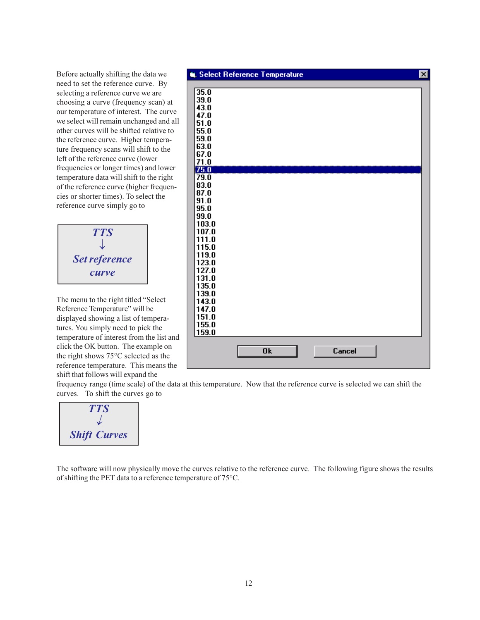Before actually shifting the data we need to set the reference curve. By selecting a reference curve we are choosing a curve (frequency scan) at our temperature of interest. The curve we select will remain unchanged and all other curves will be shifted relative to the reference curve. Higher temperature frequency scans will shift to the left of the reference curve (lower frequencies or longer times) and lower temperature data will shift to the right of the reference curve (higher frequencies or shorter times). To select the reference curve simply go to



The menu to the right titled "Select" Reference Temperature" will be displayed showing a list of temperatures. You simply need to pick the temperature of interest from the list and click the OK button. The example on the right shows 75°C selected as the reference temperature. This means the shift that follows will expand the



frequency range (time scale) of the data at this temperature. Now that the reference curve is selected we can shift the curves. To shift the curves go to



The software will now physically move the curves relative to the reference curve. The following figure shows the results of shifting the PET data to a reference temperature of 75°C.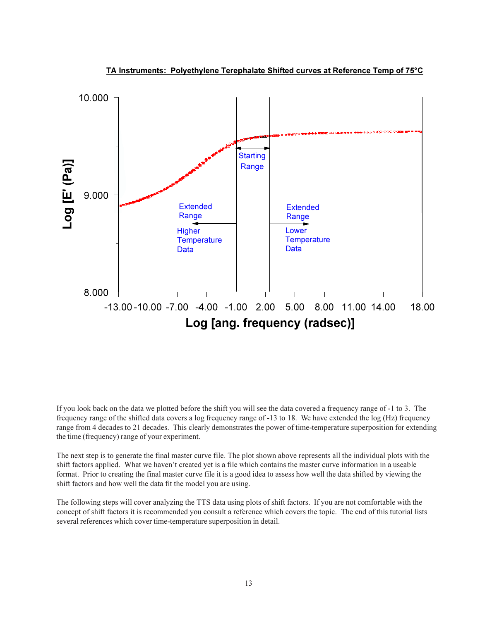

**TA Instruments: Polyethylene Terephalate Shifted curves at Reference Temp of 75°C** 

If you look back on the data we plotted before the shift you will see the data covered a frequency range of -1 to 3. The frequency range of the shifted data covers a log frequency range of -13 to 18. We have extended the log (Hz) frequency range from 4 decades to 21 decades. This clearly demonstrates the power of time-temperature superposition for extending the time (frequency) range of your experiment.

The next step is to generate the final master curve file. The plot shown above represents all the individual plots with the shift factors applied. What we haven't created yet is a file which contains the master curve information in a useable format. Prior to creating the final master curve file it is a good idea to assess how well the data shifted by viewing the shift factors and how well the data fit the model you are using.

The following steps will cover analyzing the TTS data using plots of shift factors. If you are not comfortable with the concept of shift factors it is recommended you consult a reference which covers the topic. The end of this tutorial lists several references which cover time-temperature superposition in detail.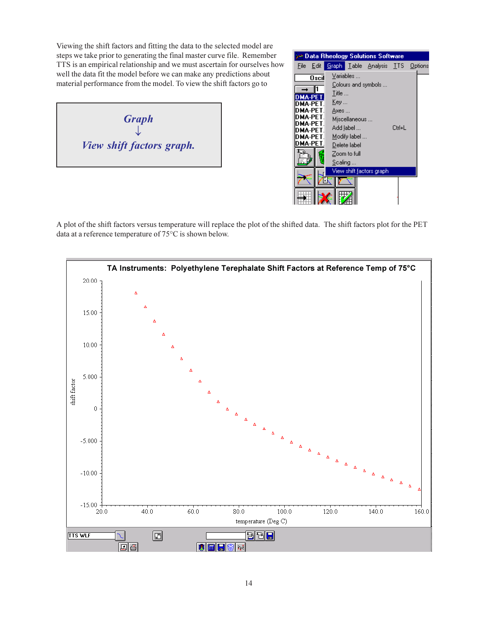Viewing the shift factors and fitting the data to the selected model are steps we take prior to generating the final master curve file. Remember TTS is an empirical relationship and we must ascertain for ourselves how well the data fit the model before we can make any predictions about material performance from the model. To view the shift factors go to

*Graph*  $\downarrow$ *View shift factors graph.*

|          |                    |         |               | > Data Rheology Solutions Software      |        |  |
|----------|--------------------|---------|---------------|-----------------------------------------|--------|--|
| File     | Edit               |         |               | <b>Graph Table Analysis TTS Options</b> |        |  |
|          | 0scil              |         | Variables     |                                         |        |  |
|          |                    |         |               | Colours and symbols                     |        |  |
|          | A-PF               | Title   |               |                                         |        |  |
|          | DMA-PFT            | Key     |               |                                         |        |  |
|          | DMA-PET.           | Axes    |               |                                         |        |  |
|          | DMA-PFT.           |         | Miscellaneous |                                         |        |  |
| IDMA-PFT |                    |         | Add label     |                                         | Ctrl+L |  |
|          | DMA-PFT<br>DMA-PFT |         | Modify label  |                                         |        |  |
|          | DMA-PET            |         |               |                                         |        |  |
|          |                    |         | Delete label  |                                         |        |  |
|          |                    |         | Zoom to full  |                                         |        |  |
|          |                    | Scaling |               |                                         |        |  |
|          |                    |         |               | View shift factors graph                |        |  |
|          |                    |         |               |                                         |        |  |
|          |                    |         |               |                                         |        |  |
|          |                    |         |               |                                         |        |  |
|          |                    |         |               |                                         |        |  |

A plot of the shift factors versus temperature will replace the plot of the shifted data. The shift factors plot for the PET data at a reference temperature of 75°C is shown below.

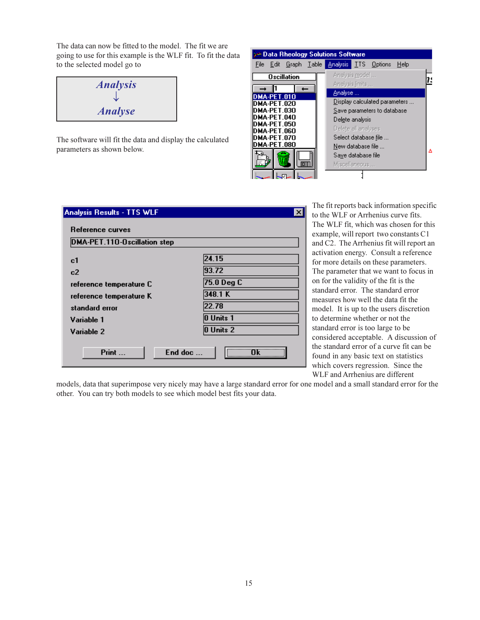The data can now be fitted to the model. The fit we are going to use for this example is the WLF fit. To fit the data to the selected model go to

| <b>Analysis</b> |  |
|-----------------|--|
|                 |  |
| <b>Analyse</b>  |  |

The software will fit the data and display the calculated parameters as shown below.

| > Data Rheology Solutions Software         |                                                                         |
|--------------------------------------------|-------------------------------------------------------------------------|
| File Edit Graph Table Analysis TTS Options | Help                                                                    |
| <b>Oscillation</b>                         | Analysis model<br>Analysis limits                                       |
| DMA-PET.010<br>DMA-PET.020<br>DMA-PET 030  | Analyse<br>Display calculated parameters<br>Save parameters to database |
| DMA-PET 040<br>DMA-PET.050<br>DMA-PET.060  | Delete analysis<br>Delete all analyses                                  |
| DMA-PET.070<br>MA-PET.080                  | Select database file<br>New database file<br>Δ                          |
|                                            | Save database file<br>Miscellaneous                                     |

| DMA-PET.110-Oscillation step |                  |
|------------------------------|------------------|
| c1                           | 24.15            |
| c2                           | 93.72            |
| reference temperature C      | 75.0 Deg C       |
| reference temperature K      | 348.1 K          |
| standard error               | 22.78            |
| Variable 1                   | <b>O</b> Units 1 |
| Variable 2                   | 0 Units 2        |

The fit reports back information specific to the WLF or Arrhenius curve fits. The WLF fit, which was chosen for this example, will report two constants C1 and C2. The Arrhenius fit will report an activation energy. Consult a reference for more details on these parameters. The parameter that we want to focus in on for the validity of the fit is the standard error. The standard error measures how well the data fit the model. It is up to the users discretion to determine whether or not the standard error is too large to be considered acceptable. A discussion of the standard error of a curve fit can be found in any basic text on statistics which covers regression. Since the WLF and Arrhenius are different

models, data that superimpose very nicely may have a large standard error for one model and a small standard error for the other. You can try both models to see which model best fits your data.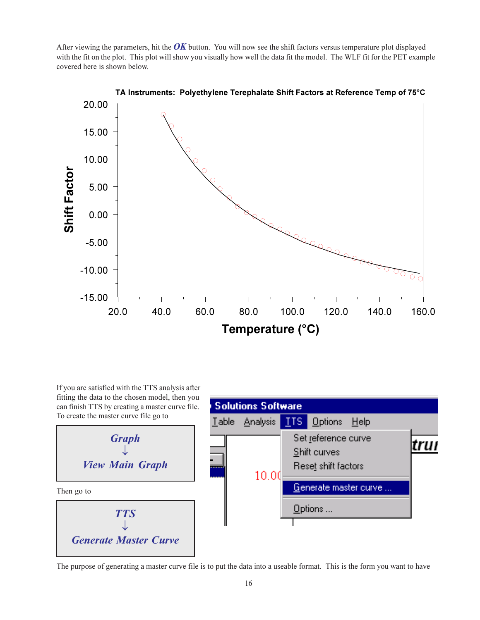After viewing the parameters, hit the *OK* button. You will now see the shift factors versus temperature plot displayed with the fit on the plot. This plot will show you visually how well the data fit the model. The WLF fit for the PET example covered here is shown below.



TA Instruments: Polyethylene Terephalate Shift Factors at Reference Temp of 75°C

If you are satisfied with the TTS analysis after fitting the data to the chosen model, then you can finish TTS by creating a master curve file. To create the master curve file go to





The purpose of generating a master curve file is to put the data into a useable format. This is the form you want to have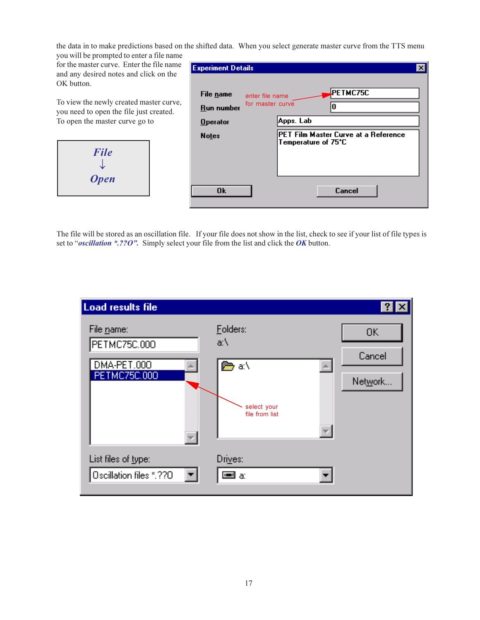the data in to make predictions based on the shifted data. When you select generate master curve from the TTS menu

you will be prompted to enter a file name for the master curve. Enter the file name and any desired notes and click on the OK button.

To view the newly created master curve, you need to open the file just created. To open the master curve go to



| <b>Experiment Details</b> |                                     |                                                             |  |
|---------------------------|-------------------------------------|-------------------------------------------------------------|--|
| File name<br>Run number   | enter file name<br>for master curve | PETMC75C                                                    |  |
| <b>Operator</b>           |                                     | Apps. Lab                                                   |  |
| <b>Notes</b>              |                                     | PET Film Master Curve at a Reference<br>Temperature of 75°C |  |
| 0k                        |                                     | Cancel                                                      |  |

The file will be stored as an oscillation file. If your file does not show in the list, check to see if your list of file types is set to "*oscillation \*.??O"*. Simply select your file from the list and click the *OK* button.

| Load results file                                         |                                                                    |                         |
|-----------------------------------------------------------|--------------------------------------------------------------------|-------------------------|
| File name:<br>PETMC75C.000<br>DMA-PET.000<br>PETMC75C.000 | Folders:<br>a:\<br><i>β</i> ⇔ a:\<br>select your<br>file from list | 0K<br>Cancel<br>Network |
| List files of <u>t</u> ype:<br>Oscillation files *.??O    | Drives:<br>≡∃ a:                                                   |                         |